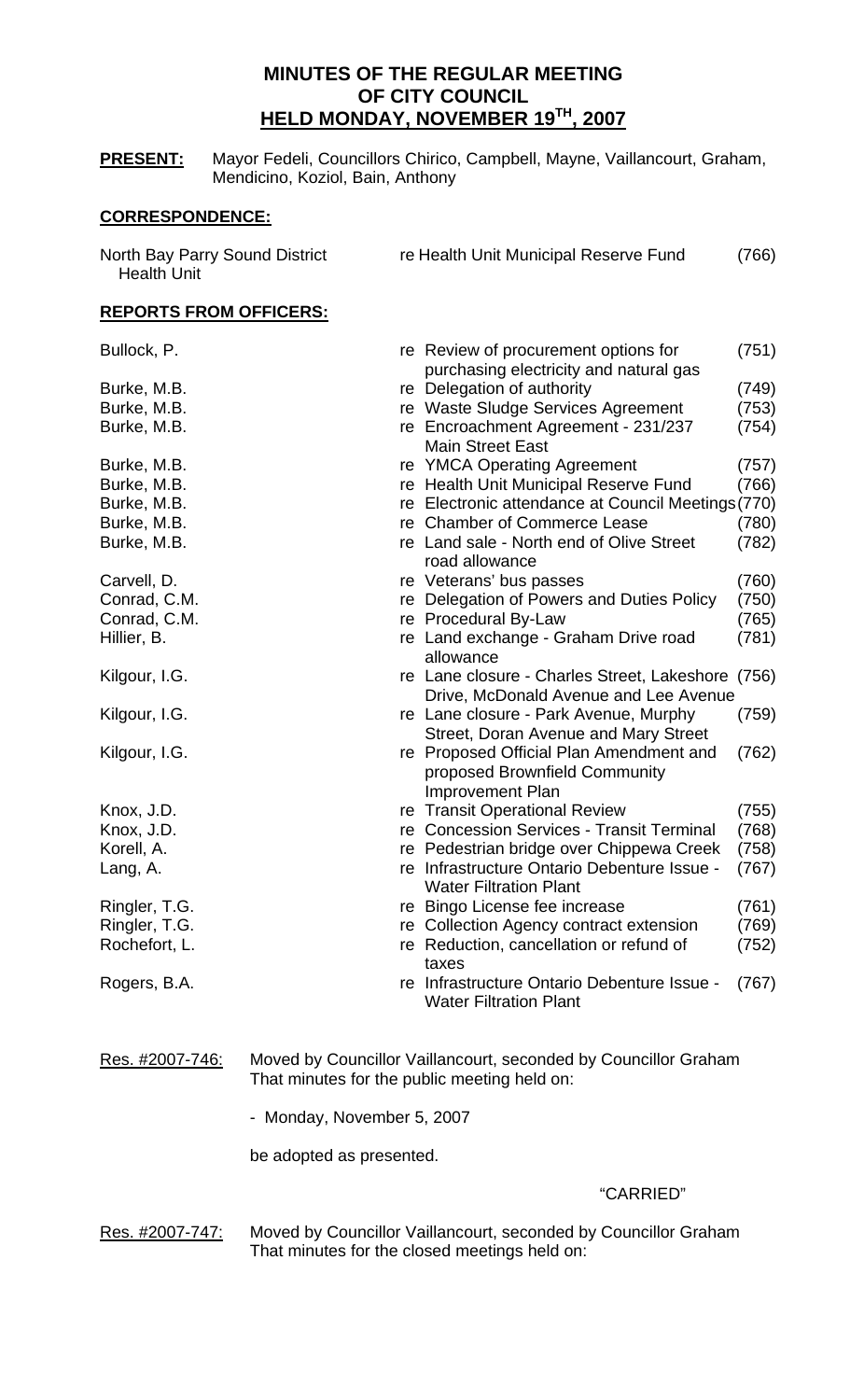# **MINUTES OF THE REGULAR MEETING OF CITY COUNCIL HELD MONDAY, NOVEMBER 19TH, 2007**

**PRESENT:** Mayor Fedeli, Councillors Chirico, Campbell, Mayne, Vaillancourt, Graham, Mendicino, Koziol, Bain, Anthony

# **CORRESPONDENCE:**

| North Bay Parry Sound District<br><b>Health Unit</b> |                                              | re Health Unit Municipal Reserve Fund                                                               | (766) |
|------------------------------------------------------|----------------------------------------------|-----------------------------------------------------------------------------------------------------|-------|
| <b>REPORTS FROM OFFICERS:</b>                        |                                              |                                                                                                     |       |
| Bullock, P.                                          |                                              | re Review of procurement options for<br>purchasing electricity and natural gas                      | (751) |
| Burke, M.B.                                          |                                              | re Delegation of authority                                                                          | (749) |
| Burke, M.B.                                          |                                              | re Waste Sludge Services Agreement                                                                  | (753) |
| Burke, M.B.                                          |                                              | re Encroachment Agreement - 231/237<br><b>Main Street East</b>                                      | (754) |
| Burke, M.B.                                          |                                              | re YMCA Operating Agreement                                                                         | (757) |
| Burke, M.B.                                          |                                              | re Health Unit Municipal Reserve Fund                                                               | (766) |
| Burke, M.B.                                          |                                              | re Electronic attendance at Council Meetings (770)                                                  |       |
| Burke, M.B.                                          |                                              | re Chamber of Commerce Lease                                                                        | (780) |
| Burke, M.B.                                          |                                              | re Land sale - North end of Olive Street<br>road allowance                                          | (782) |
| Carvell, D.                                          |                                              | re Veterans' bus passes                                                                             | (760) |
| Conrad, C.M.                                         | re                                           | Delegation of Powers and Duties Policy                                                              | (750) |
| Conrad, C.M.                                         |                                              | re Procedural By-Law                                                                                | (765) |
| Hillier, B.                                          |                                              | re Land exchange - Graham Drive road<br>allowance                                                   | (781) |
| Kilgour, I.G.                                        |                                              | re Lane closure - Charles Street, Lakeshore<br>Drive, McDonald Avenue and Lee Avenue                | (756) |
| Kilgour, I.G.                                        |                                              | re Lane closure - Park Avenue, Murphy<br>Street, Doran Avenue and Mary Street                       | (759) |
| Kilgour, I.G.                                        |                                              | re Proposed Official Plan Amendment and<br>proposed Brownfield Community<br><b>Improvement Plan</b> | (762) |
| Knox, J.D.                                           |                                              | re Transit Operational Review                                                                       | (755) |
| Knox, J.D.                                           |                                              | re Concession Services - Transit Terminal                                                           | (768) |
| Korell, A.                                           |                                              | re Pedestrian bridge over Chippewa Creek                                                            | (758) |
| Lang, A.                                             |                                              | re Infrastructure Ontario Debenture Issue -<br><b>Water Filtration Plant</b>                        | (767) |
| Ringler, T.G.                                        |                                              | re Bingo License fee increase                                                                       | (761) |
| Ringler, T.G.                                        |                                              | re Collection Agency contract extension                                                             | (769) |
| Rochefort, L.                                        |                                              | re Reduction, cancellation or refund of<br>taxes                                                    | (752) |
| Rogers, B.A.                                         |                                              | re Infrastructure Ontario Debenture Issue -<br><b>Water Filtration Plant</b>                        | (767) |
| Res. #2007-746:                                      | That minutes for the public meeting held on: | Moved by Councillor Vaillancourt, seconded by Councillor Graham                                     |       |

- Monday, November 5, 2007

be adopted as presented.

## "CARRIED"

Res. #2007-747: Moved by Councillor Vaillancourt, seconded by Councillor Graham That minutes for the closed meetings held on: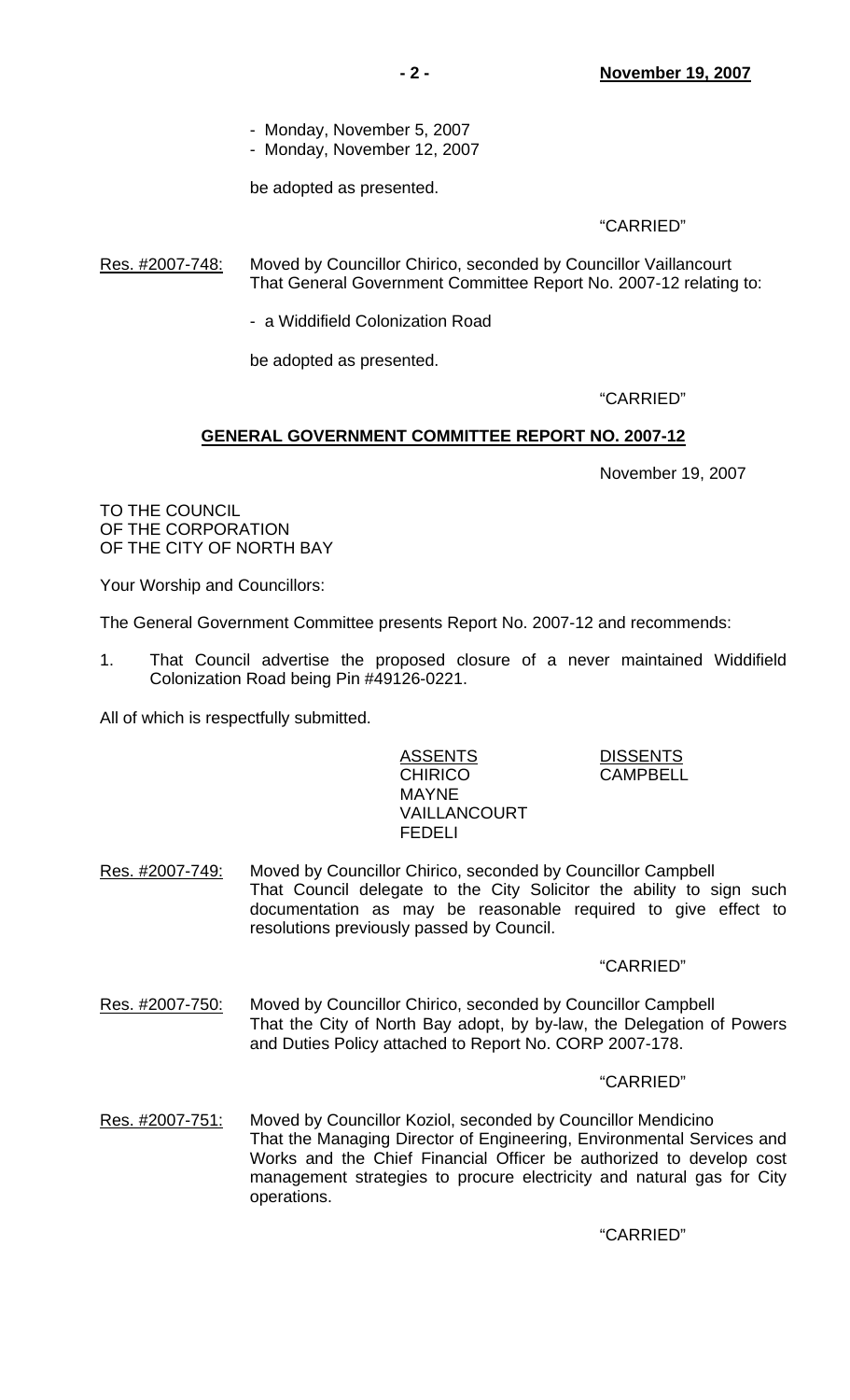- Monday, November 5, 2007
- Monday, November 12, 2007

be adopted as presented.

"CARRIED"

Res. #2007-748: Moved by Councillor Chirico, seconded by Councillor Vaillancourt That General Government Committee Report No. 2007-12 relating to:

- a Widdifield Colonization Road

be adopted as presented.

"CARRIED"

# **GENERAL GOVERNMENT COMMITTEE REPORT NO. 2007-12**

November 19, 2007

TO THE COUNCIL OF THE CORPORATION OF THE CITY OF NORTH BAY

Your Worship and Councillors:

The General Government Committee presents Report No. 2007-12 and recommends:

1. That Council advertise the proposed closure of a never maintained Widdifield Colonization Road being Pin #49126-0221.

All of which is respectfully submitted.

## ASSENT<u>S</u> DISSENTS CHIRICO CAMPBELL MAYNE VAILLANCOURT FEDELI

Res. #2007-749: Moved by Councillor Chirico, seconded by Councillor Campbell That Council delegate to the City Solicitor the ability to sign such documentation as may be reasonable required to give effect to resolutions previously passed by Council.

## "CARRIED"

Res. #2007-750: Moved by Councillor Chirico, seconded by Councillor Campbell That the City of North Bay adopt, by by-law, the Delegation of Powers and Duties Policy attached to Report No. CORP 2007-178.

## "CARRIED"

Res. #2007-751: Moved by Councillor Koziol, seconded by Councillor Mendicino That the Managing Director of Engineering, Environmental Services and Works and the Chief Financial Officer be authorized to develop cost management strategies to procure electricity and natural gas for City operations.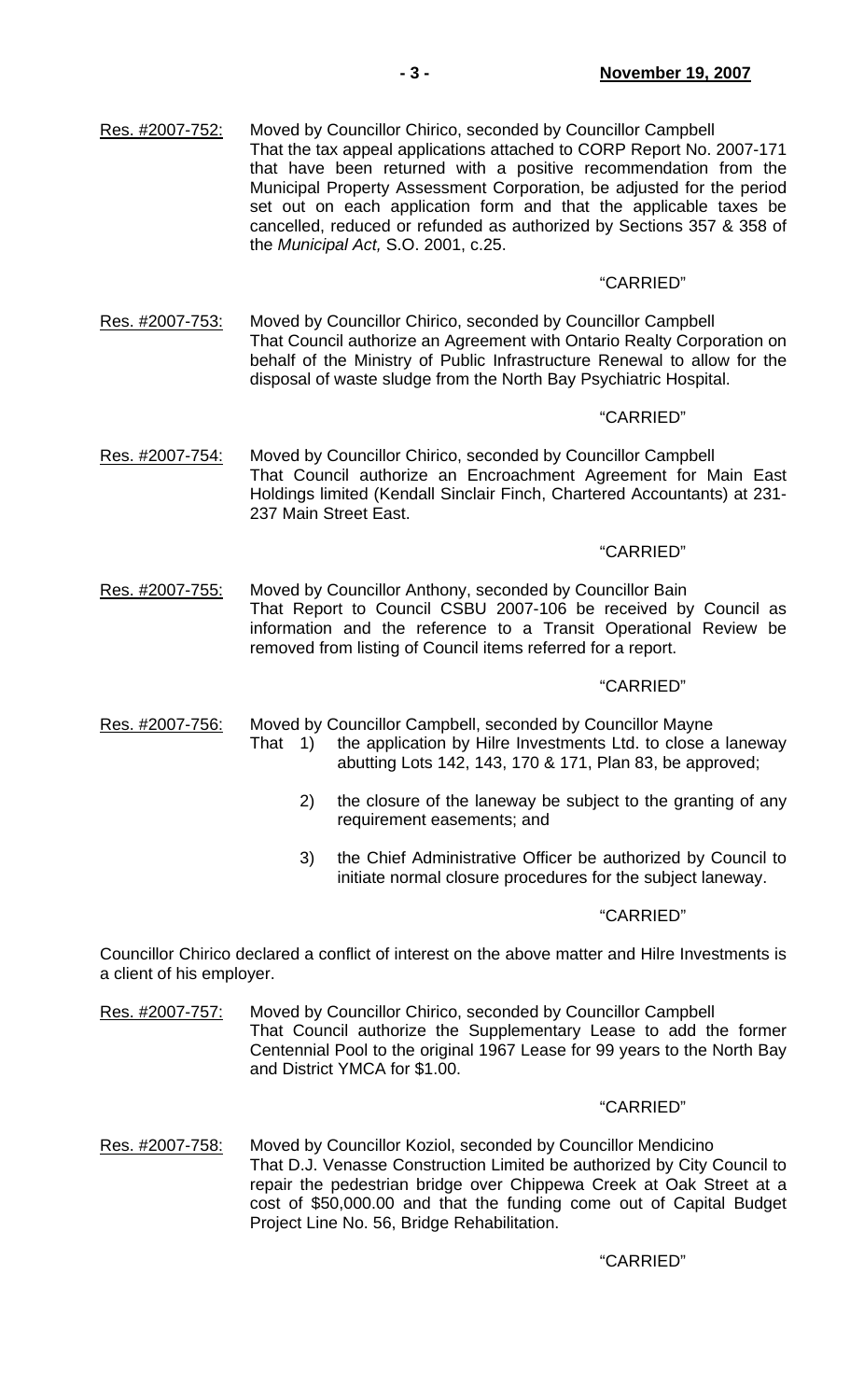| Res. #2007-752: | Moved by Councillor Chirico, seconded by Councillor Campbell          |
|-----------------|-----------------------------------------------------------------------|
|                 | That the tax appeal applications attached to CORP Report No. 2007-171 |
|                 | that have been returned with a positive recommendation from the       |
|                 | Municipal Property Assessment Corporation, be adjusted for the period |
|                 | set out on each application form and that the applicable taxes be     |
|                 | cancelled, reduced or refunded as authorized by Sections 357 & 358 of |
|                 | the Municipal Act, S.O. 2001, c.25.                                   |

## "CARRIED"

Res. #2007-753: Moved by Councillor Chirico, seconded by Councillor Campbell That Council authorize an Agreement with Ontario Realty Corporation on behalf of the Ministry of Public Infrastructure Renewal to allow for the disposal of waste sludge from the North Bay Psychiatric Hospital.

#### "CARRIED"

Res. #2007-754: Moved by Councillor Chirico, seconded by Councillor Campbell That Council authorize an Encroachment Agreement for Main East Holdings limited (Kendall Sinclair Finch, Chartered Accountants) at 231- 237 Main Street East.

# "CARRIED"

Res. #2007-755: Moved by Councillor Anthony, seconded by Councillor Bain That Report to Council CSBU 2007-106 be received by Council as information and the reference to a Transit Operational Review be removed from listing of Council items referred for a report.

#### "CARRIED"

Res. #2007-756: Moved by Councillor Campbell, seconded by Councillor Mayne

- That 1) the application by Hilre Investments Ltd. to close a laneway abutting Lots 142, 143, 170 & 171, Plan 83, be approved;
	- 2) the closure of the laneway be subject to the granting of any requirement easements; and
	- 3) the Chief Administrative Officer be authorized by Council to initiate normal closure procedures for the subject laneway.

#### "CARRIED"

Councillor Chirico declared a conflict of interest on the above matter and Hilre Investments is a client of his employer.

Res. #2007-757: Moved by Councillor Chirico, seconded by Councillor Campbell That Council authorize the Supplementary Lease to add the former Centennial Pool to the original 1967 Lease for 99 years to the North Bay and District YMCA for \$1.00.

#### "CARRIED"

Res. #2007-758: Moved by Councillor Koziol, seconded by Councillor Mendicino That D.J. Venasse Construction Limited be authorized by City Council to repair the pedestrian bridge over Chippewa Creek at Oak Street at a cost of \$50,000.00 and that the funding come out of Capital Budget Project Line No. 56, Bridge Rehabilitation.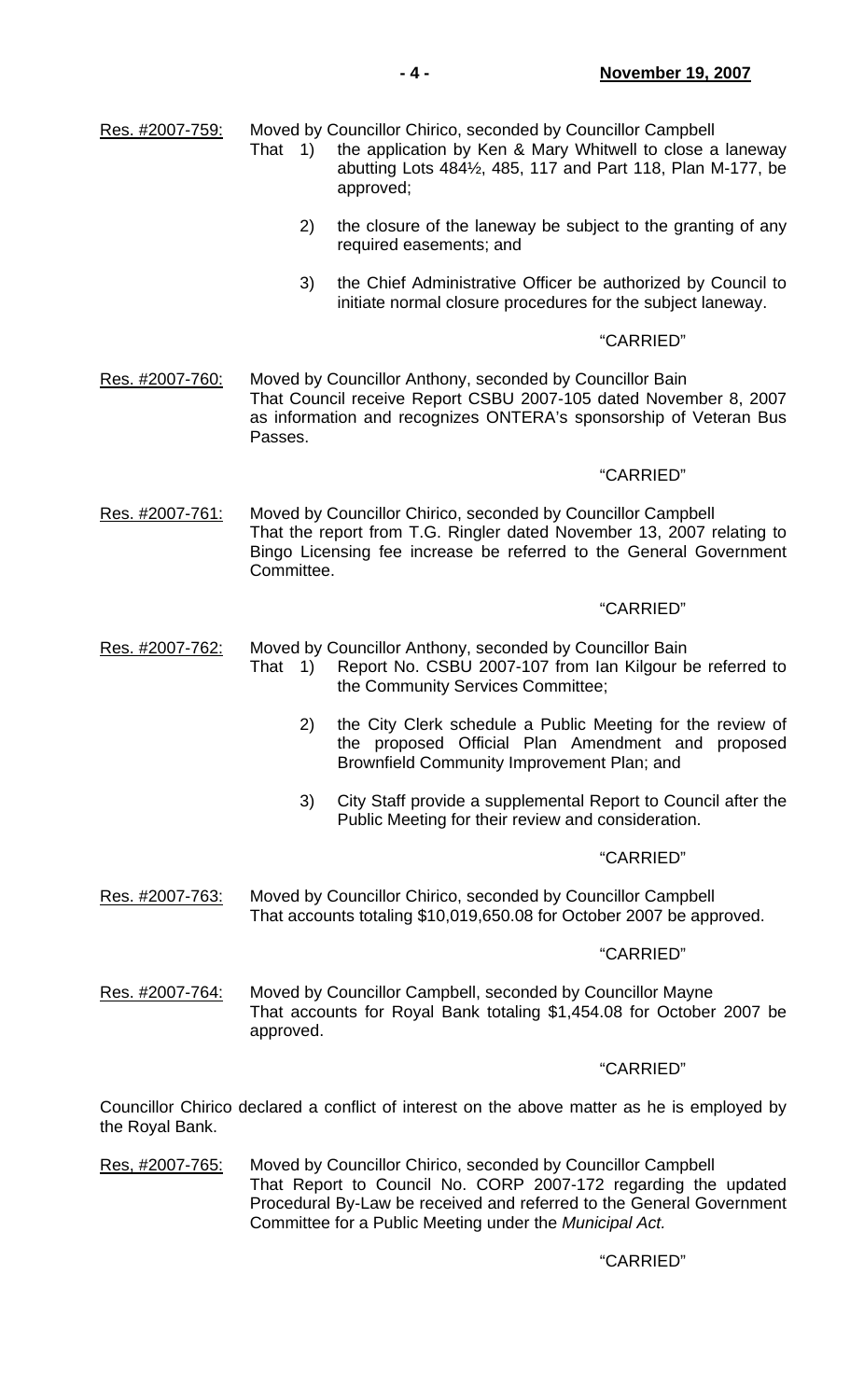Res. #2007-759: Moved by Councillor Chirico, seconded by Councillor Campbell

- That 1) the application by Ken & Mary Whitwell to close a laneway abutting Lots 484½, 485, 117 and Part 118, Plan M-177, be approved;
	- 2) the closure of the laneway be subject to the granting of any required easements; and
	- 3) the Chief Administrative Officer be authorized by Council to initiate normal closure procedures for the subject laneway.

## "CARRIED"

Res. #2007-760: Moved by Councillor Anthony, seconded by Councillor Bain That Council receive Report CSBU 2007-105 dated November 8, 2007 as information and recognizes ONTERA's sponsorship of Veteran Bus Passes.

## "CARRIED"

Res. #2007-761: Moved by Councillor Chirico, seconded by Councillor Campbell That the report from T.G. Ringler dated November 13, 2007 relating to Bingo Licensing fee increase be referred to the General Government Committee.

## "CARRIED"

- Res. #2007-762: Moved by Councillor Anthony, seconded by Councillor Bain That 1) Report No. CSBU 2007-107 from Ian Kilgour be referred to the Community Services Committee;
	- 2) the City Clerk schedule a Public Meeting for the review of the proposed Official Plan Amendment and proposed Brownfield Community Improvement Plan; and
	- 3) City Staff provide a supplemental Report to Council after the Public Meeting for their review and consideration.

## "CARRIED"

Res. #2007-763: Moved by Councillor Chirico, seconded by Councillor Campbell That accounts totaling \$10,019,650.08 for October 2007 be approved.

## "CARRIED"

Res. #2007-764: Moved by Councillor Campbell, seconded by Councillor Mayne That accounts for Royal Bank totaling \$1,454.08 for October 2007 be approved.

## "CARRIED"

Councillor Chirico declared a conflict of interest on the above matter as he is employed by the Royal Bank.

Res, #2007-765: Moved by Councillor Chirico, seconded by Councillor Campbell That Report to Council No. CORP 2007-172 regarding the updated Procedural By-Law be received and referred to the General Government Committee for a Public Meeting under the *Municipal Act.*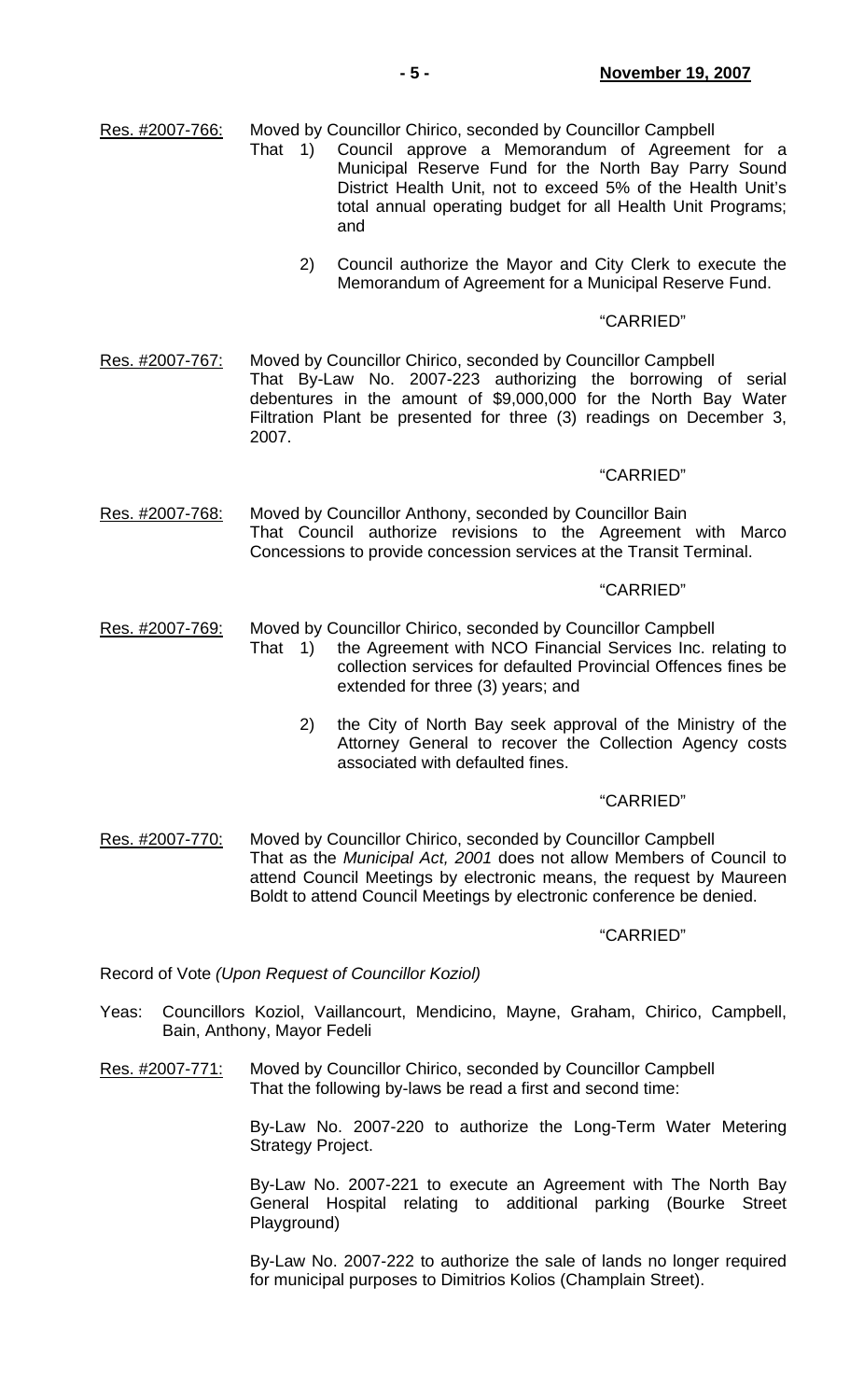Res. #2007-766: Moved by Councillor Chirico, seconded by Councillor Campbell

- That 1) Council approve a Memorandum of Agreement for a Municipal Reserve Fund for the North Bay Parry Sound District Health Unit, not to exceed 5% of the Health Unit's total annual operating budget for all Health Unit Programs; and
	- 2) Council authorize the Mayor and City Clerk to execute the Memorandum of Agreement for a Municipal Reserve Fund.

#### "CARRIED"

Res. #2007-767: Moved by Councillor Chirico, seconded by Councillor Campbell That By-Law No. 2007-223 authorizing the borrowing of serial debentures in the amount of \$9,000,000 for the North Bay Water Filtration Plant be presented for three (3) readings on December 3, 2007.

#### "CARRIED"

Res. #2007-768: Moved by Councillor Anthony, seconded by Councillor Bain That Council authorize revisions to the Agreement with Marco Concessions to provide concession services at the Transit Terminal.

### "CARRIED"

- Res. #2007-769: Moved by Councillor Chirico, seconded by Councillor Campbell
	- That 1) the Agreement with NCO Financial Services Inc. relating to collection services for defaulted Provincial Offences fines be extended for three (3) years; and
		- 2) the City of North Bay seek approval of the Ministry of the Attorney General to recover the Collection Agency costs associated with defaulted fines.

#### "CARRIED"

Res. #2007-770: Moved by Councillor Chirico, seconded by Councillor Campbell That as the *Municipal Act, 2001* does not allow Members of Council to attend Council Meetings by electronic means, the request by Maureen Boldt to attend Council Meetings by electronic conference be denied.

#### "CARRIED"

Record of Vote *(Upon Request of Councillor Koziol)*

- Yeas: Councillors Koziol, Vaillancourt, Mendicino, Mayne, Graham, Chirico, Campbell, Bain, Anthony, Mayor Fedeli
- Res. #2007-771: Moved by Councillor Chirico, seconded by Councillor Campbell That the following by-laws be read a first and second time:

 By-Law No. 2007-220 to authorize the Long-Term Water Metering Strategy Project.

 By-Law No. 2007-221 to execute an Agreement with The North Bay General Hospital relating to additional parking (Bourke Street Playground)

 By-Law No. 2007-222 to authorize the sale of lands no longer required for municipal purposes to Dimitrios Kolios (Champlain Street).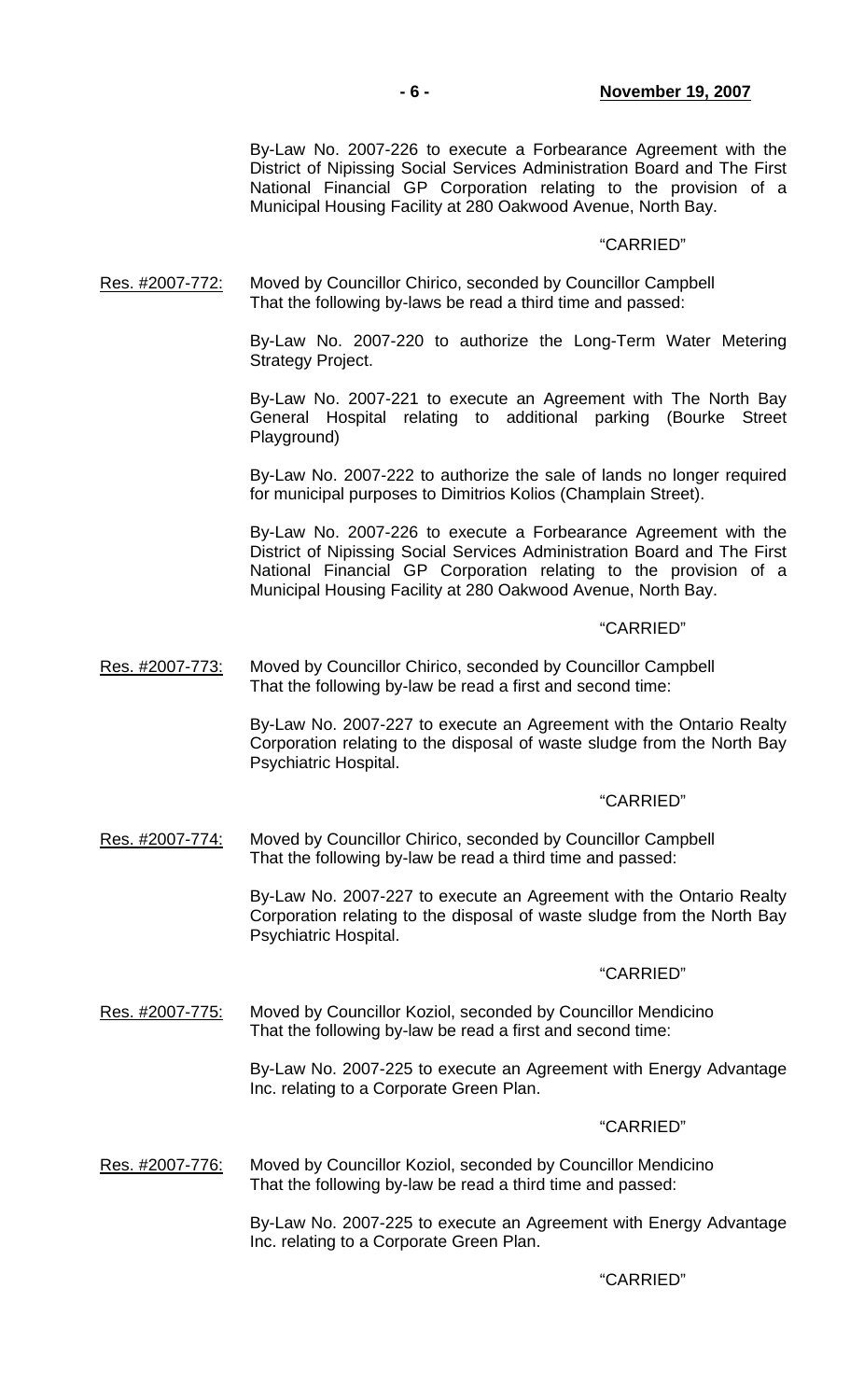By-Law No. 2007-226 to execute a Forbearance Agreement with the District of Nipissing Social Services Administration Board and The First National Financial GP Corporation relating to the provision of a Municipal Housing Facility at 280 Oakwood Avenue, North Bay.

#### "CARRIED"

Res. #2007-772: Moved by Councillor Chirico, seconded by Councillor Campbell That the following by-laws be read a third time and passed:

> By-Law No. 2007-220 to authorize the Long-Term Water Metering Strategy Project.

> By-Law No. 2007-221 to execute an Agreement with The North Bay General Hospital relating to additional parking (Bourke Street Playground)

> By-Law No. 2007-222 to authorize the sale of lands no longer required for municipal purposes to Dimitrios Kolios (Champlain Street).

> By-Law No. 2007-226 to execute a Forbearance Agreement with the District of Nipissing Social Services Administration Board and The First National Financial GP Corporation relating to the provision of a Municipal Housing Facility at 280 Oakwood Avenue, North Bay.

#### "CARRIED"

Res. #2007-773: Moved by Councillor Chirico, seconded by Councillor Campbell That the following by-law be read a first and second time:

> By-Law No. 2007-227 to execute an Agreement with the Ontario Realty Corporation relating to the disposal of waste sludge from the North Bay Psychiatric Hospital.

### "CARRIED"

Res. #2007-774: Moved by Councillor Chirico, seconded by Councillor Campbell That the following by-law be read a third time and passed:

> By-Law No. 2007-227 to execute an Agreement with the Ontario Realty Corporation relating to the disposal of waste sludge from the North Bay Psychiatric Hospital.

#### "CARRIED"

Res. #2007-775: Moved by Councillor Koziol, seconded by Councillor Mendicino That the following by-law be read a first and second time:

> By-Law No. 2007-225 to execute an Agreement with Energy Advantage Inc. relating to a Corporate Green Plan.

#### "CARRIED"

Res. #2007-776: Moved by Councillor Koziol, seconded by Councillor Mendicino That the following by-law be read a third time and passed:

> By-Law No. 2007-225 to execute an Agreement with Energy Advantage Inc. relating to a Corporate Green Plan.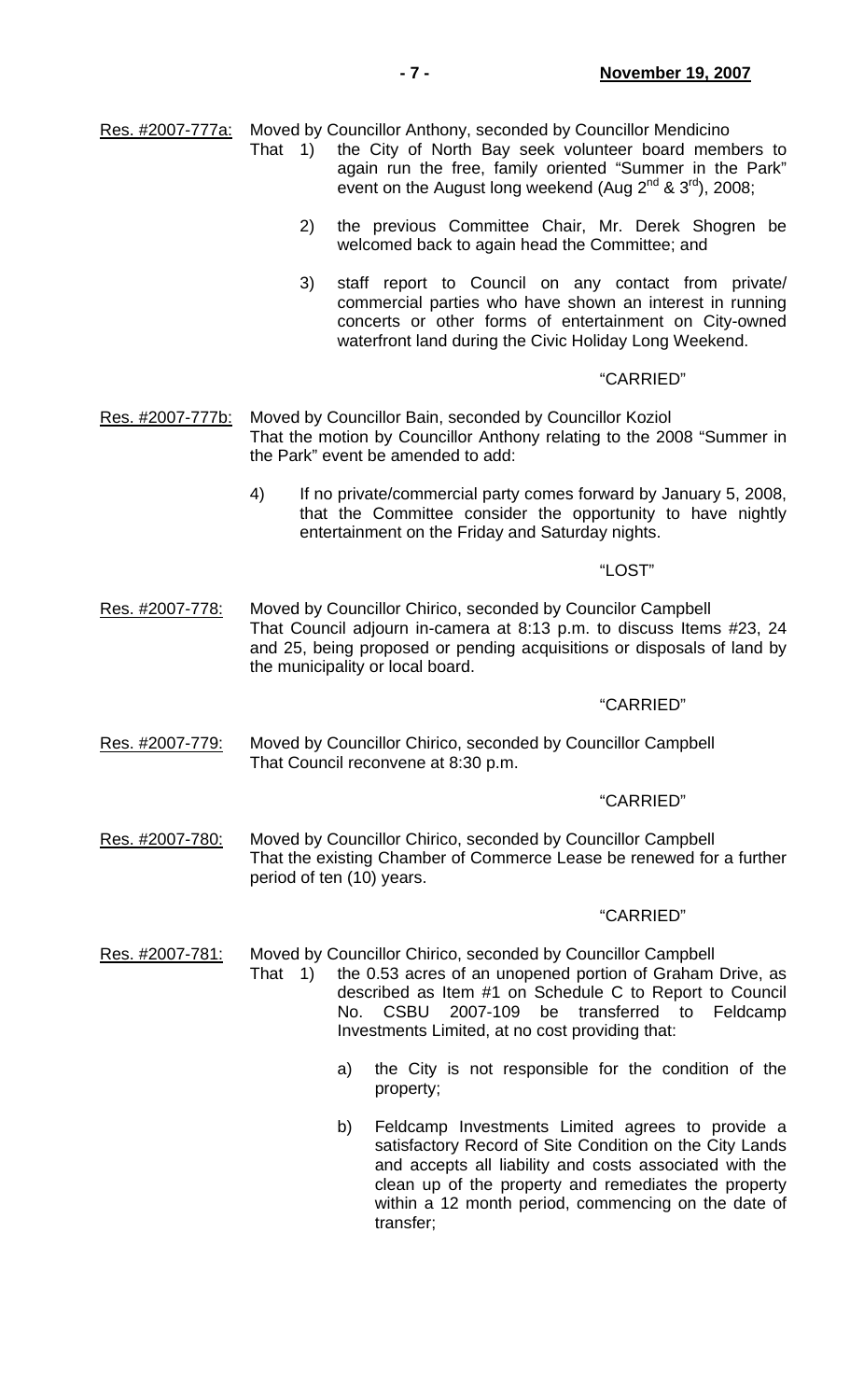Res. #2007-777a: Moved by Councillor Anthony, seconded by Councillor Mendicino

- That 1) the City of North Bay seek volunteer board members to again run the free, family oriented "Summer in the Park" event on the August long weekend (Aug  $2^{nd}$  &  $3^{rd}$ ), 2008;
	- 2) the previous Committee Chair, Mr. Derek Shogren be welcomed back to again head the Committee; and
	- 3) staff report to Council on any contact from private/ commercial parties who have shown an interest in running concerts or other forms of entertainment on City-owned waterfront land during the Civic Holiday Long Weekend.

## "CARRIED"

- Res. #2007-777b: Moved by Councillor Bain, seconded by Councillor Koziol That the motion by Councillor Anthony relating to the 2008 "Summer in the Park" event be amended to add:
	- 4) If no private/commercial party comes forward by January 5, 2008, that the Committee consider the opportunity to have nightly entertainment on the Friday and Saturday nights.

# "LOST"

Res. #2007-778: Moved by Councillor Chirico, seconded by Councilor Campbell That Council adjourn in-camera at 8:13 p.m. to discuss Items #23, 24 and 25, being proposed or pending acquisitions or disposals of land by the municipality or local board.

## "CARRIED"

Res. #2007-779: Moved by Councillor Chirico, seconded by Councillor Campbell That Council reconvene at 8:30 p.m.

## "CARRIED"

Res. #2007-780: Moved by Councillor Chirico, seconded by Councillor Campbell That the existing Chamber of Commerce Lease be renewed for a further period of ten (10) years.

## "CARRIED"

Res. #2007-781: Moved by Councillor Chirico, seconded by Councillor Campbell

- That 1) the 0.53 acres of an unopened portion of Graham Drive, as described as Item #1 on Schedule C to Report to Council No. CSBU 2007-109 be transferred to Feldcamp Investments Limited, at no cost providing that:
	- a) the City is not responsible for the condition of the property;
	- b) Feldcamp Investments Limited agrees to provide a satisfactory Record of Site Condition on the City Lands and accepts all liability and costs associated with the clean up of the property and remediates the property within a 12 month period, commencing on the date of transfer;